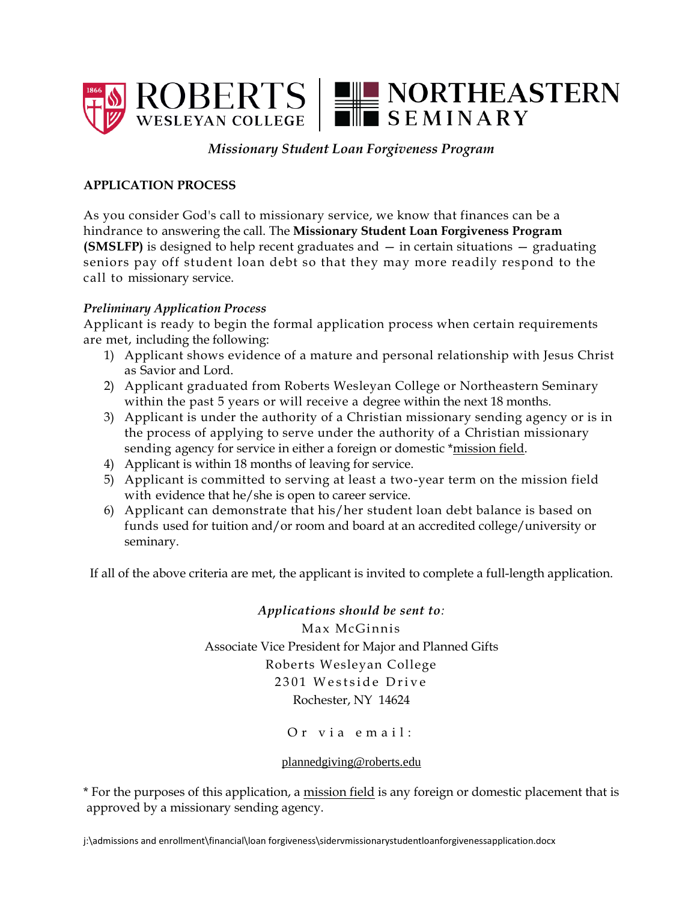

# *Missionary Student Loan Forgiveness Program*

## **APPLICATION PROCESS**

As you consider God's call to missionary service, we know that finances can be a hindrance to answering the call. The **Missionary Student Loan Forgiveness Program (SMSLFP)** is designed to help recent graduates and — in certain situations — graduating seniors pay off student loan debt so that they may more readily respond to the call to missionary service.

## *Preliminary Application Process*

Applicant is ready to begin the formal application process when certain requirements are met, including the following:

- 1) Applicant shows evidence of a mature and personal relationship with Jesus Christ as Savior and Lord.
- 2) Applicant graduated from Roberts Wesleyan College or Northeastern Seminary within the past 5 years or will receive a degree within the next 18 months.
- 3) Applicant is under the authority of a Christian missionary sending agency or is in the process of applying to serve under the authority of a Christian missionary sending agency for service in either a foreign or domestic \*mission field.
- 4) Applicant is within 18 months of leaving for service.
- 5) Applicant is committed to serving at least a two-year term on the mission field with evidence that he/she is open to career service.
- 6) Applicant can demonstrate that his/her student loan debt balance is based on funds used for tuition and/or room and board at an accredited college/university or seminary.

If all of the above criteria are met, the applicant is invited to complete a full-length application.

*Applications should be sent to:* Max McGinnis Associate Vice President for Major and Planned Gifts Roberts Wesleyan College 2301 Westside Drive Rochester, NY 14624

Or via email:

## [plannedgiving@roberts.edu](mailto:plannedgiving@roberts.edu)

\* For the purposes of this application, a mission field is any foreign or domestic placement that is approved by a missionary sending agency.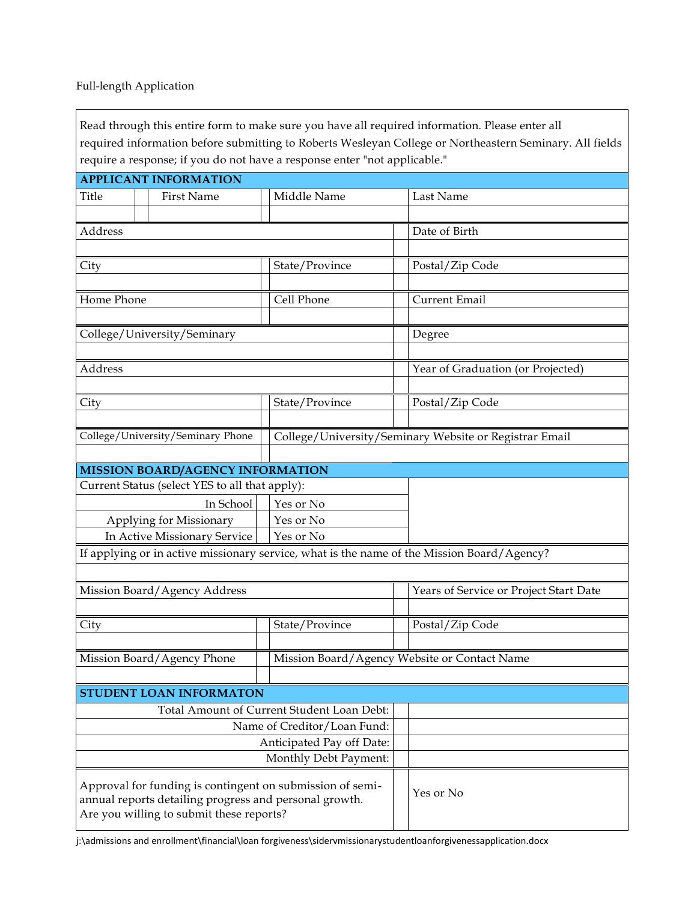# Full-length Application

| Read through this entire form to make sure you have all required information. Please enter all                                                                  |                |                                              |                                                                                                         |
|-----------------------------------------------------------------------------------------------------------------------------------------------------------------|----------------|----------------------------------------------|---------------------------------------------------------------------------------------------------------|
|                                                                                                                                                                 |                |                                              | required information before submitting to Roberts Wesleyan College or Northeastern Seminary. All fields |
| require a response; if you do not have a response enter "not applicable."<br><b>APPLICANT INFORMATION</b>                                                       |                |                                              |                                                                                                         |
| Title<br>First Name                                                                                                                                             | Middle Name    |                                              | Last Name                                                                                               |
|                                                                                                                                                                 |                |                                              |                                                                                                         |
| Address                                                                                                                                                         |                |                                              | Date of Birth                                                                                           |
|                                                                                                                                                                 |                |                                              |                                                                                                         |
| City                                                                                                                                                            | State/Province |                                              | Postal/Zip Code                                                                                         |
|                                                                                                                                                                 |                |                                              |                                                                                                         |
| Home Phone                                                                                                                                                      | Cell Phone     |                                              | Current Email                                                                                           |
|                                                                                                                                                                 |                |                                              |                                                                                                         |
| College/University/Seminary                                                                                                                                     |                |                                              | Degree                                                                                                  |
|                                                                                                                                                                 |                |                                              |                                                                                                         |
| Address                                                                                                                                                         |                |                                              | Year of Graduation (or Projected)                                                                       |
|                                                                                                                                                                 |                |                                              |                                                                                                         |
| City                                                                                                                                                            | State/Province |                                              | Postal/Zip Code                                                                                         |
|                                                                                                                                                                 |                |                                              |                                                                                                         |
| College/University/Seminary Phone                                                                                                                               |                |                                              | College/University/Seminary Website or Registrar Email                                                  |
|                                                                                                                                                                 |                |                                              |                                                                                                         |
| MISSION BOARD/AGENCY INFORMATION                                                                                                                                |                |                                              |                                                                                                         |
| Current Status (select YES to all that apply):                                                                                                                  |                |                                              |                                                                                                         |
| In School                                                                                                                                                       | Yes or No      |                                              |                                                                                                         |
| Applying for Missionary                                                                                                                                         | Yes or No      |                                              |                                                                                                         |
| In Active Missionary Service<br>Yes or No                                                                                                                       |                |                                              |                                                                                                         |
| If applying or in active missionary service, what is the name of the Mission Board/Agency?                                                                      |                |                                              |                                                                                                         |
|                                                                                                                                                                 |                |                                              |                                                                                                         |
| Mission Board/Agency Address                                                                                                                                    |                |                                              | Years of Service or Project Start Date                                                                  |
|                                                                                                                                                                 |                |                                              |                                                                                                         |
| City                                                                                                                                                            | State/Province |                                              | Postal/Zip Code                                                                                         |
|                                                                                                                                                                 |                |                                              |                                                                                                         |
| Mission Board/Agency Phone                                                                                                                                      |                | Mission Board/Agency Website or Contact Name |                                                                                                         |
|                                                                                                                                                                 |                |                                              |                                                                                                         |
| STUDENT LOAN INFORMATON                                                                                                                                         |                |                                              |                                                                                                         |
| Total Amount of Current Student Loan Debt:                                                                                                                      |                |                                              |                                                                                                         |
| Name of Creditor/Loan Fund:                                                                                                                                     |                |                                              |                                                                                                         |
| Anticipated Pay off Date:                                                                                                                                       |                |                                              |                                                                                                         |
| Monthly Debt Payment:                                                                                                                                           |                |                                              |                                                                                                         |
| Approval for funding is contingent on submission of semi-<br>annual reports detailing progress and personal growth.<br>Are you willing to submit these reports? |                |                                              | Yes or No                                                                                               |

j:\admissions and enrollment\financial\loan forgiveness\sidervmissionarystudentloanforgivenessapplication.docx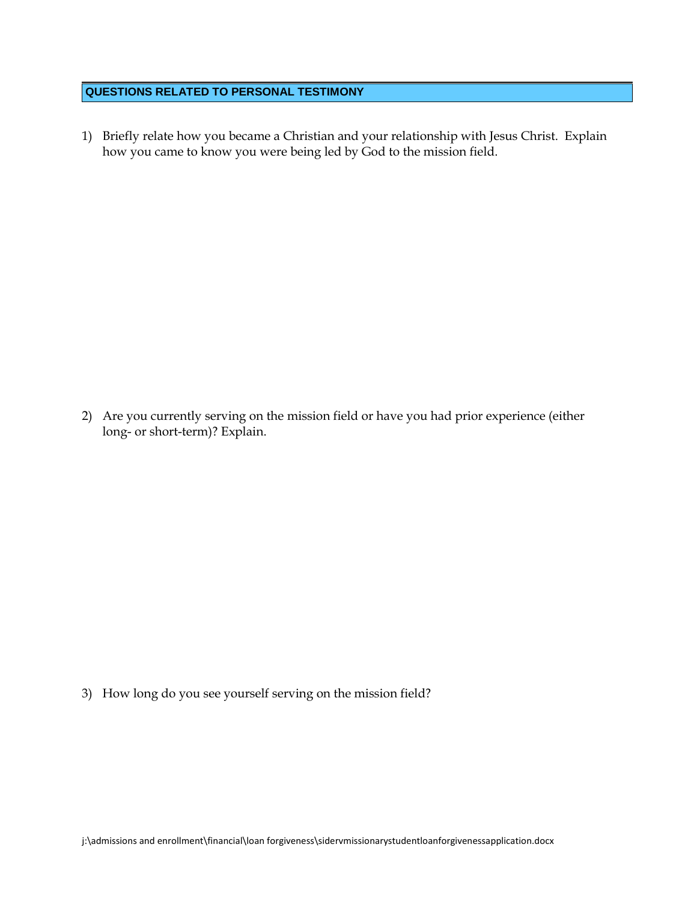#### **QUESTIONS RELATED TO PERSONAL TESTIMONY**

1) Briefly relate how you became a Christian and your relationship with Jesus Christ. Explain how you came to know you were being led by God to the mission field.

2) Are you currently serving on the mission field or have you had prior experience (either long- or short-term)? Explain.

3) How long do you see yourself serving on the mission field?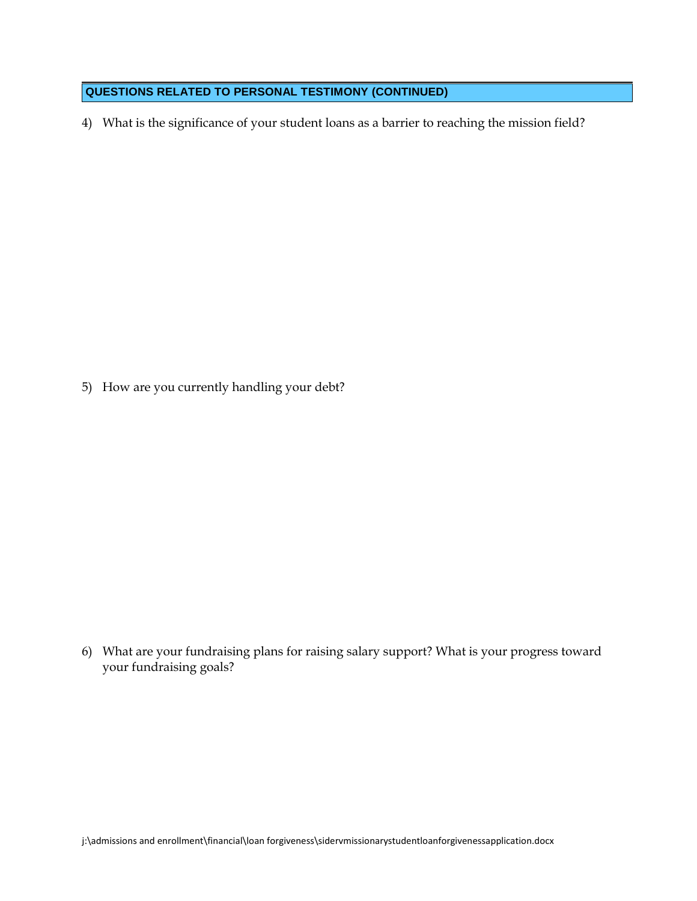### **QUESTIONS RELATED TO PERSONAL TESTIMONY (CONTINUED)**

4) What is the significance of your student loans as a barrier to reaching the mission field?

5) How are you currently handling your debt?

6) What are your fundraising plans for raising salary support? What is your progress toward your fundraising goals?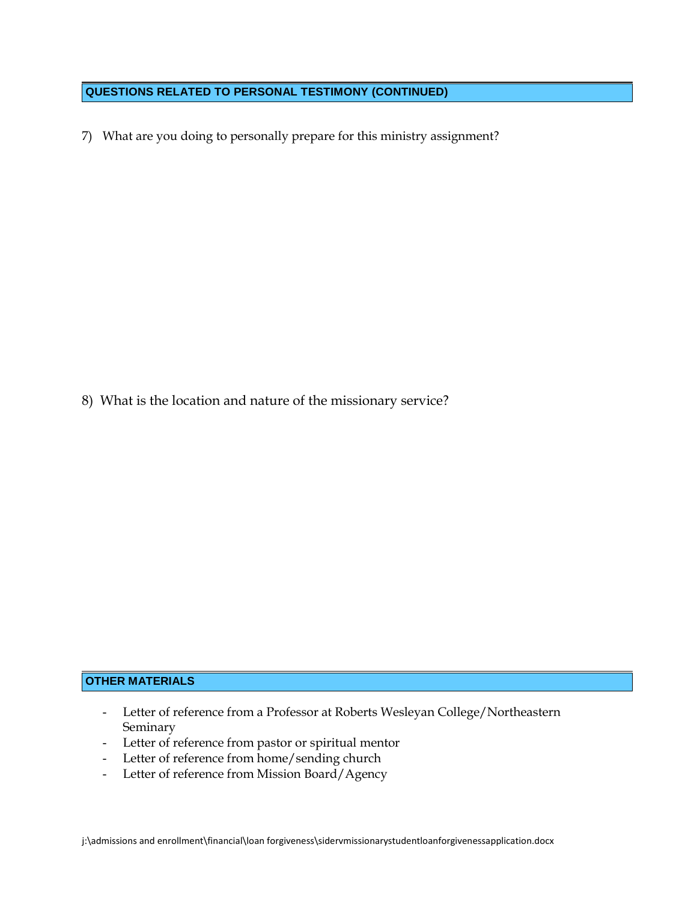## **QUESTIONS RELATED TO PERSONAL TESTIMONY (CONTINUED)**

7) What are you doing to personally prepare for this ministry assignment?

8) What is the location and nature of the missionary service?

# **OTHER MATERIALS**

- Letter of reference from a Professor at Roberts Wesleyan College/Northeastern Seminary
- Letter of reference from pastor or spiritual mentor
- Letter of reference from home/sending church
- Letter of reference from Mission Board/Agency